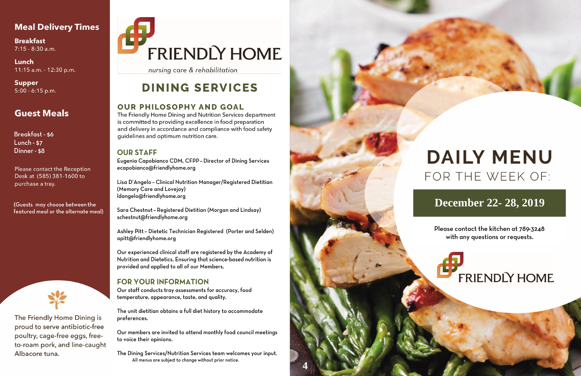### **Meal Delivery Times**

**Breakfast**  $7:15 - 8:30$  a.m.

Lunch 11:15 a.m. - 12:30 p.m.

**Supper**  $5:00 - 6:15$  p.m.

## **Guest Meals**

**Breakfast - \$6 Lunch - \$7** Dinner - \$8

Please contact the Reception Desk at (585) 381-1600 to purchase a tray.

(Guests may choose between the featured meal or the alternate meal)



The Friendly Home Dining is proud to serve antibiotic-free poultry, cage-free eggs, freeto-roam pork, and line-caught Albacore tuna.

# FRIENDLY HOME

nursing care & rehabilitation

# **DINING SERVICES**

### **OUR PHILOSOPHY AND GOAL**

The Friendly Home Dining and Nutrition Services department is committed to providing excellence in food preparation and delivery in accordance and compliance with food safety guidelines and optimum nutrition care.

#### **OUR STAFF**

Eugenia Capobianco CDM, CFPP - Director of Dining Services ecapobianco@friendlyhome.org

Lisa D'Angelo - Clinical Nutrition Manager/Registered Dietitian (Memory Care and Lovejoy) ldangelo@friendlyhome.org

Sara Chestnut - Registered Dietitian (Morgan and Lindsay) schestnut@friendlyhome.org

Ashley Pitt - Dietetic Technician Registered (Porter and Selden) apitt@friendlyhome.org

Our experienced clinical staff are registered by the Academy of Nutrition and Dietetics. Ensuring that science-based nutrition is provided and applied to all of our Members.

### **FOR YOUR INFORMATION**

Our staff conducts tray assessments for accuracy, food temperature, appearance, taste, and quality.

The unit dietitian obtains a full diet history to accommodate preferences.

Our members are invited to attend monthly food council meetings to voice their opinions.

The Dining Services/Nutrition Services team welcomes your input. All menus are subject to change without prior notice.



# **DAILY MENU** FOR THE WEEK OF:

## December 22-28, 2019

Please contact the kitchen at 789-3248 with any questions or requests.